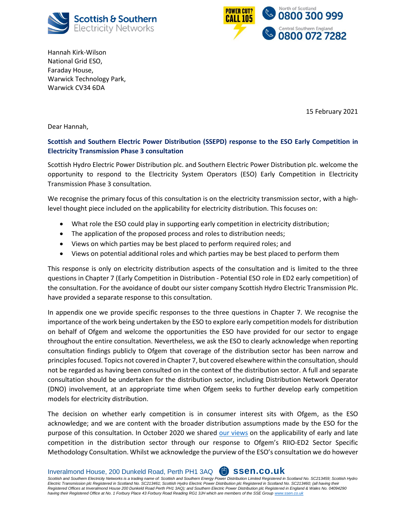



Hannah Kirk-Wilson National Grid ESO, Faraday House, Warwick Technology Park, Warwick CV34 6DA

15 February 2021

Dear Hannah,

## **Scottish and Southern Electric Power Distribution (SSEPD) response to the ESO Early Competition in Electricity Transmission Phase 3 consultation**

Scottish Hydro Electric Power Distribution plc. and Southern Electric Power Distribution plc. welcome the opportunity to respond to the Electricity System Operators (ESO) Early Competition in Electricity Transmission Phase 3 consultation.

We recognise the primary focus of this consultation is on the electricity transmission sector, with a highlevel thought piece included on the applicability for electricity distribution. This focuses on:

- What role the ESO could play in supporting early competition in electricity distribution;
- The application of the proposed process and roles to distribution needs;
- Views on which parties may be best placed to perform required roles; and
- Views on potential additional roles and which parties may be best placed to perform them

This response is only on electricity distribution aspects of the consultation and is limited to the three questions in Chapter 7 (Early Competition in Distribution - Potential ESO role in ED2 early competition) of the consultation. For the avoidance of doubt our sister company Scottish Hydro Electric Transmission Plc. have provided a separate response to this consultation.

In appendix one we provide specific responses to the three questions in Chapter 7. We recognise the importance of the work being undertaken by the ESO to explore early competition models for distribution on behalf of Ofgem and welcome the opportunities the ESO have provided for our sector to engage throughout the entire consultation. Nevertheless, we ask the ESO to clearly acknowledge when reporting consultation findings publicly to Ofgem that coverage of the distribution sector has been narrow and principles focused. Topics not covered in Chapter 7, but covered elsewhere within the consultation, should not be regarded as having been consulted on in the context of the distribution sector. A full and separate consultation should be undertaken for the distribution sector, including Distribution Network Operator (DNO) involvement, at an appropriate time when Ofgem seeks to further develop early competition models for electricity distribution.

The decision on whether early competition is in consumer interest sits with Ofgem, as the ESO acknowledge; and we are content with the broader distribution assumptions made by the ESO for the purpose of this consultation. In October 2020 we shared [our views](https://www.ofgem.gov.uk/system/files/docs/2020/12/riio-ed2_ssmc_consultation_responses.zip) on the applicability of early and late competition in the distribution sector through our response to Ofgem's RIIO-ED2 Sector Specific Methodology Consultation. Whilst we acknowledge the purview of the ESO's consultation we do however

Inveralmond House, 200 Dunkeld Road, Perth PH1 3AQ **ssen.co.uk**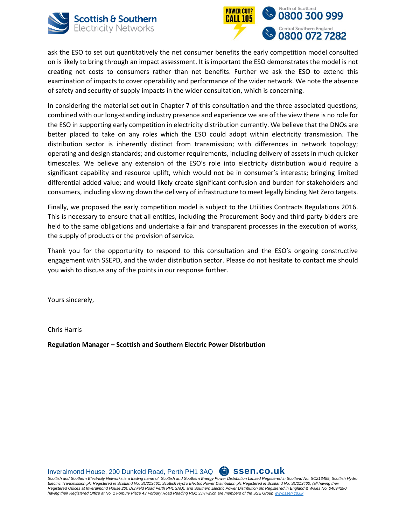



ask the ESO to set out quantitatively the net consumer benefits the early competition model consulted on is likely to bring through an impact assessment. It is important the ESO demonstrates the model is not creating net costs to consumers rather than net benefits. Further we ask the ESO to extend this examination of impacts to cover operability and performance of the wider network. We note the absence of safety and security of supply impacts in the wider consultation, which is concerning.

In considering the material set out in Chapter 7 of this consultation and the three associated questions; combined with our long-standing industry presence and experience we are of the view there is no role for the ESO in supporting early competition in electricity distribution currently. We believe that the DNOs are better placed to take on any roles which the ESO could adopt within electricity transmission. The distribution sector is inherently distinct from transmission; with differences in network topology; operating and design standards; and customer requirements, including delivery of assets in much quicker timescales. We believe any extension of the ESO's role into electricity distribution would require a significant capability and resource uplift, which would not be in consumer's interests; bringing limited differential added value; and would likely create significant confusion and burden for stakeholders and consumers, including slowing down the delivery of infrastructure to meet legally binding Net Zero targets.

Finally, we proposed the early competition model is subject to the Utilities Contracts Regulations 2016. This is necessary to ensure that all entities, including the Procurement Body and third-party bidders are held to the same obligations and undertake a fair and transparent processes in the execution of works, the supply of products or the provision of service.

Thank you for the opportunity to respond to this consultation and the ESO's ongoing constructive engagement with SSEPD, and the wider distribution sector. Please do not hesitate to contact me should you wish to discuss any of the points in our response further.

Yours sincerely,

Chris Harris

**Regulation Manager – Scottish and Southern Electric Power Distribution**

Inveralmond House, 200 Dunkeld Road, Perth PH1 3AQ **ssen.co.uk**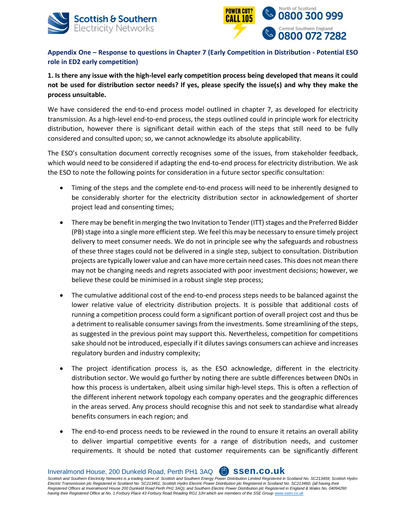



**Appendix One – Response to questions in Chapter 7 (Early Competition in Distribution - Potential ESO role in ED2 early competition)**

**1. Is there any issue with the high-level early competition process being developed that means it could not be used for distribution sector needs? If yes, please specify the issue(s) and why they make the process unsuitable.**

We have considered the end-to-end process model outlined in chapter 7, as developed for electricity transmission. As a high-level end-to-end process, the steps outlined could in principle work for electricity distribution, however there is significant detail within each of the steps that still need to be fully considered and consulted upon; so, we cannot acknowledge its absolute applicability.

The ESO's consultation document correctly recognises some of the issues, from stakeholder feedback, which would need to be considered if adapting the end-to-end process for electricity distribution. We ask the ESO to note the following points for consideration in a future sector specific consultation:

- Timing of the steps and the complete end-to-end process will need to be inherently designed to be considerably shorter for the electricity distribution sector in acknowledgement of shorter project lead and consenting times;
- There may be benefit in merging the two Invitation to Tender (ITT) stages and the Preferred Bidder (PB) stage into a single more efficient step. We feel this may be necessary to ensure timely project delivery to meet consumer needs. We do not in principle see why the safeguards and robustness of these three stages could not be delivered in a single step, subject to consultation. Distribution projects are typically lower value and can have more certain need cases. This does not mean there may not be changing needs and regrets associated with poor investment decisions; however, we believe these could be minimised in a robust single step process;
- The cumulative additional cost of the end-to-end process steps needs to be balanced against the lower relative value of electricity distribution projects. It is possible that additional costs of running a competition process could form a significant portion of overall project cost and thus be a detriment to realisable consumer savings from the investments. Some streamlining of the steps, as suggested in the previous point may support this. Nevertheless, competition for competitions sake should not be introduced, especially if it dilutes savings consumers can achieve and increases regulatory burden and industry complexity;
- The project identification process is, as the ESO acknowledge, different in the electricity distribution sector. We would go further by noting there are subtle differences between DNOs in how this process is undertaken, albeit using similar high-level steps. This is often a reflection of the different inherent network topology each company operates and the geographic differences in the areas served. Any process should recognise this and not seek to standardise what already benefits consumers in each region; and
- The end-to-end process needs to be reviewed in the round to ensure it retains an overall ability to deliver impartial competitive events for a range of distribution needs, and customer requirements. It should be noted that customer requirements can be significantly different

Inveralmond House, 200 Dunkeld Road, Perth PH1 3AQ **ssen.co.uk**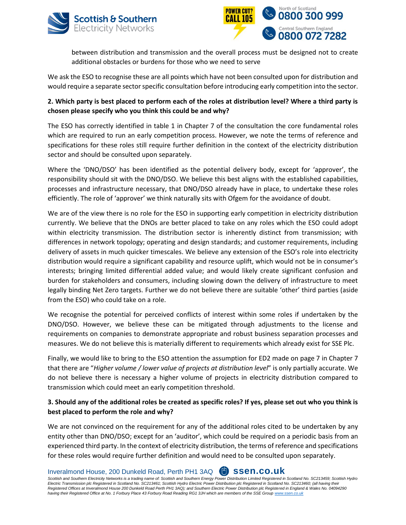



between distribution and transmission and the overall process must be designed not to create additional obstacles or burdens for those who we need to serve

We ask the ESO to recognise these are all points which have not been consulted upon for distribution and would require a separate sector specific consultation before introducing early competition into the sector.

## **2. Which party is best placed to perform each of the roles at distribution level? Where a third party is chosen please specify who you think this could be and why?**

The ESO has correctly identified in table 1 in Chapter 7 of the consultation the core fundamental roles which are required to run an early competition process. However, we note the terms of reference and specifications for these roles still require further definition in the context of the electricity distribution sector and should be consulted upon separately.

Where the 'DNO/DSO' has been identified as the potential delivery body, except for 'approver', the responsibility should sit with the DNO/DSO. We believe this best aligns with the established capabilities, processes and infrastructure necessary, that DNO/DSO already have in place, to undertake these roles efficiently. The role of 'approver' we think naturally sits with Ofgem for the avoidance of doubt.

We are of the view there is no role for the ESO in supporting early competition in electricity distribution currently. We believe that the DNOs are better placed to take on any roles which the ESO could adopt within electricity transmission. The distribution sector is inherently distinct from transmission; with differences in network topology; operating and design standards; and customer requirements, including delivery of assets in much quicker timescales. We believe any extension of the ESO's role into electricity distribution would require a significant capability and resource uplift, which would not be in consumer's interests; bringing limited differential added value; and would likely create significant confusion and burden for stakeholders and consumers, including slowing down the delivery of infrastructure to meet legally binding Net Zero targets. Further we do not believe there are suitable 'other' third parties (aside from the ESO) who could take on a role.

We recognise the potential for perceived conflicts of interest within some roles if undertaken by the DNO/DSO. However, we believe these can be mitigated through adjustments to the license and requirements on companies to demonstrate appropriate and robust business separation processes and measures. We do not believe this is materially different to requirements which already exist for SSE Plc.

Finally, we would like to bring to the ESO attention the assumption for ED2 made on page 7 in Chapter 7 that there are "*Higher volume / lower value of projects at distribution level*" is only partially accurate. We do not believe there is necessary a higher volume of projects in electricity distribution compared to transmission which could meet an early competition threshold.

## **3. Should any of the additional roles be created as specific roles? If yes, please set out who you think is best placed to perform the role and why?**

We are not convinced on the requirement for any of the additional roles cited to be undertaken by any entity other than DNO/DSO; except for an 'auditor', which could be required on a periodic basis from an experienced third party. In the context of electricity distribution, the terms of reference and specifications for these roles would require further definition and would need to be consulted upon separately.

Inveralmond House, 200 Dunkeld Road, Perth PH1 3AQ **ssen.co.uk**